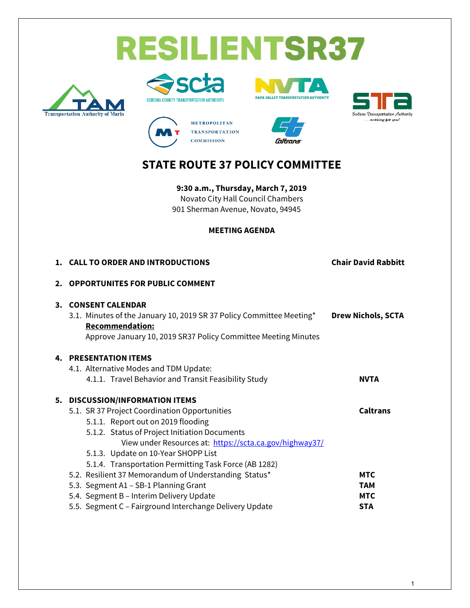# **RESILIENTSR37**













# **STATE ROUTE 37 POLICY COMMITTEE**

**9:30 a.m., Thursday, March 7, 2019**  Novato City Hall Council Chambers 901 Sherman Avenue, Novato, 94945

#### **MEETING AGENDA**

|    | 1. CALL TO ORDER AND INTRODUCTIONS                                                                                                                                                                                                                                                                                                 | <b>Chair David Rabbitt</b>                           |
|----|------------------------------------------------------------------------------------------------------------------------------------------------------------------------------------------------------------------------------------------------------------------------------------------------------------------------------------|------------------------------------------------------|
| 2. | <b>OPPORTUNITES FOR PUBLIC COMMENT</b>                                                                                                                                                                                                                                                                                             |                                                      |
| 3. | <b>CONSENT CALENDAR</b><br>3.1. Minutes of the January 10, 2019 SR 37 Policy Committee Meeting*<br><b>Recommendation:</b><br>Approve January 10, 2019 SR37 Policy Committee Meeting Minutes                                                                                                                                        | <b>Drew Nichols, SCTA</b>                            |
|    | <b>4. PRESENTATION ITEMS</b><br>4.1. Alternative Modes and TDM Update:<br>4.1.1. Travel Behavior and Transit Feasibility Study                                                                                                                                                                                                     | <b>NVTA</b>                                          |
|    | 5. DISCUSSION/INFORMATION ITEMS<br>5.1. SR 37 Project Coordination Opportunities<br>5.1.1. Report out on 2019 flooding<br>5.1.2. Status of Project Initiation Documents<br>View under Resources at: https://scta.ca.gov/highway37/<br>5.1.3. Update on 10-Year SHOPP List<br>5.1.4. Transportation Permitting Task Force (AB 1282) | <b>Caltrans</b>                                      |
|    | 5.2. Resilient 37 Memorandum of Understanding Status*<br>5.3. Segment A1 - SB-1 Planning Grant<br>5.4. Segment B - Interim Delivery Update<br>5.5. Segment C - Fairground Interchange Delivery Update                                                                                                                              | <b>MTC</b><br><b>TAM</b><br><b>MTC</b><br><b>STA</b> |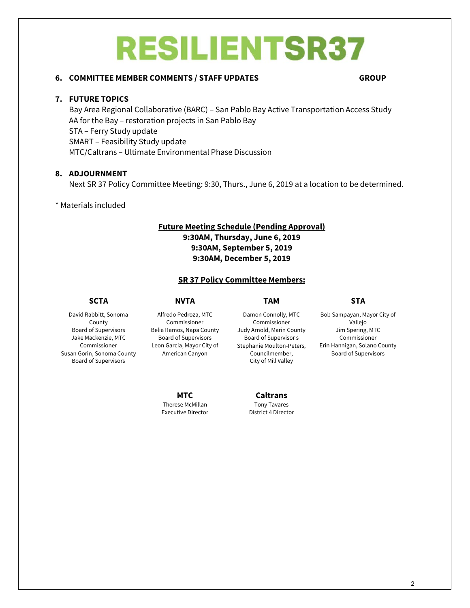# **RESILIENTSR37**

#### **6. COMMITTEE MEMBER COMMENTS / STAFF UPDATES GROUP**

#### **7. FUTURE TOPICS**

Bay Area Regional Collaborative (BARC) – San Pablo Bay Active Transportation Access Study AA for the Bay – restoration projects in San Pablo Bay STA – Ferry Study update SMART – Feasibility Study update MTC/Caltrans – Ultimate Environmental Phase Discussion

#### **8. ADJOURNMENT**

Next SR 37 Policy Committee Meeting: 9:30, Thurs., June 6, 2019 at a location to be determined.

#### \* Materials included

#### **Future Meeting Schedule (Pending Approval) 9:30AM, Thursday, June 6, 2019 9:30AM, September 5, 2019 9:30AM, December 5, 2019**

#### **SR 37 Policy Committee Members:**

#### **SCTA NVTA TAM STA**

David Rabbitt, Sonoma County Board of Supervisors Jake Mackenzie, MTC Commissioner Susan Gorin, Sonoma County Board of Supervisors

Alfredo Pedroza, MTC Commissioner Belia Ramos, Napa County Board of Supervisors Leon Garcia, Mayor City of American Canyon

Damon Connolly, MTC Commissioner Judy Arnold, Marin County Board of Supervisor s Stephanie Moulton-Peters, Councilmember, City of Mill Valley

Bob Sampayan, Mayor City of Vallejo Jim Spering, MTC Commissioner Erin Hannigan, Solano County Board of Supervisors

**MTC** Therese McMillan Executive Director

**Caltrans** Tony Tavares District 4 Director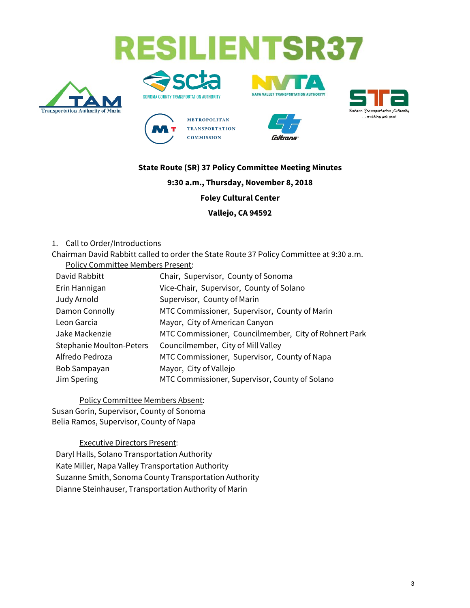# **RESILIENTSR37**













### **State Route (SR) 37 Policy Committee Meeting Minutes**

#### **9:30 a.m., Thursday, November 8, 2018**

**Foley Cultural Center**

**Vallejo, CA 94592**

1. Call to Order/Introductions

Chairman David Rabbitt called to order the State Route 37 Policy Committee at 9:30 a.m. Policy Committee Members Present:

| David Rabbitt                   | Chair, Supervisor, County of Sonoma                   |
|---------------------------------|-------------------------------------------------------|
| Erin Hannigan                   | Vice-Chair, Supervisor, County of Solano              |
| Judy Arnold                     | Supervisor, County of Marin                           |
| Damon Connolly                  | MTC Commissioner, Supervisor, County of Marin         |
| Leon Garcia                     | Mayor, City of American Canyon                        |
| Jake Mackenzie                  | MTC Commissioner, Councilmember, City of Rohnert Park |
| <b>Stephanie Moulton-Peters</b> | Councilmember, City of Mill Valley                    |
| Alfredo Pedroza                 | MTC Commissioner, Supervisor, County of Napa          |
| Bob Sampayan                    | Mayor, City of Vallejo                                |
| Jim Spering                     | MTC Commissioner, Supervisor, County of Solano        |

Policy Committee Members Absent: Susan Gorin, Supervisor, County of Sonoma Belia Ramos, Supervisor, County of Napa

Executive Directors Present: Daryl Halls, Solano Transportation Authority Kate Miller, Napa Valley Transportation Authority Suzanne Smith, Sonoma County Transportation Authority Dianne Steinhauser, Transportation Authority of Marin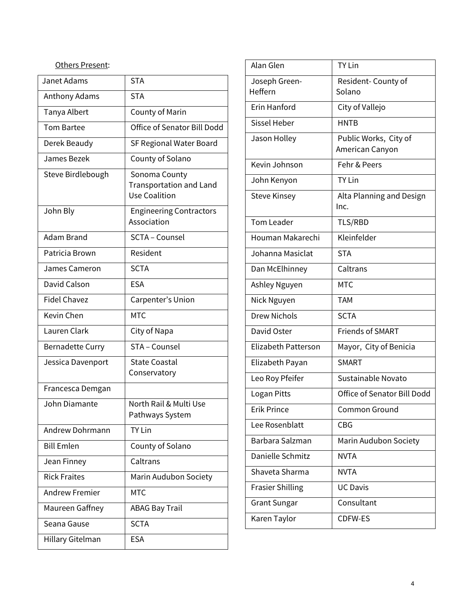# Others Present:

| Janet Adams             | <b>STA</b>                                                              |
|-------------------------|-------------------------------------------------------------------------|
| Anthony Adams           | <b>STA</b>                                                              |
| Tanya Albert            | County of Marin                                                         |
| <b>Tom Bartee</b>       | Office of Senator Bill Dodd                                             |
| Derek Beaudy            | SF Regional Water Board                                                 |
| James Bezek             | County of Solano                                                        |
| Steve Birdlebough       | Sonoma County<br><b>Transportation and Land</b><br><b>Use Coalition</b> |
| John Bly                | <b>Engineering Contractors</b><br>Association                           |
| Adam Brand              | SCTA - Counsel                                                          |
| Patricia Brown          | Resident                                                                |
| James Cameron           | <b>SCTA</b>                                                             |
| David Calson            | <b>ESA</b>                                                              |
| <b>Fidel Chavez</b>     | Carpenter's Union                                                       |
| Kevin Chen              | <b>MTC</b>                                                              |
| Lauren Clark            | City of Napa                                                            |
| <b>Bernadette Curry</b> | STA - Counsel                                                           |
| Jessica Davenport       | <b>State Coastal</b><br>Conservatory                                    |
| Francesca Demgan        |                                                                         |
| John Diamante           | North Rail & Multi Use<br>Pathways System                               |
| Andrew Dohrmann         | <b>TY Lin</b>                                                           |
| <b>Bill Emlen</b>       | County of Solano                                                        |
| Jean Finney             | Caltrans                                                                |
| <b>Rick Fraites</b>     | Marin Audubon Society                                                   |
| <b>Andrew Fremier</b>   | <b>MTC</b>                                                              |
| Maureen Gaffney         | <b>ABAG Bay Trail</b>                                                   |
| Seana Gause             | <b>SCTA</b>                                                             |
| Hillary Gitelman        | <b>ESA</b>                                                              |

| Alan Glen                | <b>TY Lin</b>                            |
|--------------------------|------------------------------------------|
| Joseph Green-<br>Heffern | Resident-County of<br>Solano             |
| <b>Erin Hanford</b>      | City of Vallejo                          |
| <b>Sissel Heber</b>      | <b>HNTB</b>                              |
| Jason Holley             | Public Works, City of<br>American Canyon |
| Kevin Johnson            | Fehr & Peers                             |
| John Kenyon              | <b>TY Lin</b>                            |
| <b>Steve Kinsey</b>      | Alta Planning and Design<br>Inc.         |
| <b>Tom Leader</b>        | TLS/RBD                                  |
| Houman Makarechi         | Kleinfelder                              |
| Johanna Masiclat         | <b>STA</b>                               |
| Dan McElhinney           | Caltrans                                 |
| Ashley Nguyen            | <b>MTC</b>                               |
| Nick Nguyen              | <b>TAM</b>                               |
| Drew Nichols             | <b>SCTA</b>                              |
| David Oster              | <b>Friends of SMART</b>                  |
| Elizabeth Patterson      | Mayor, City of Benicia                   |
| Elizabeth Payan          | <b>SMART</b>                             |
| Leo Roy Pfeifer          | Sustainable Novato                       |
| Logan Pitts              | <b>Office of Senator Bill Dodd</b>       |
| <b>Erik Prince</b>       | Common Ground                            |
| Lee Rosenblatt           | <b>CBG</b>                               |
| Barbara Salzman          | Marin Audubon Society                    |
| Danielle Schmitz         | <b>NVTA</b>                              |
| Shaveta Sharma           | <b>NVTA</b>                              |
| <b>Frasier Shilling</b>  | <b>UC Davis</b>                          |
| <b>Grant Sungar</b>      | Consultant                               |
| Karen Taylor             | <b>CDFW-ES</b>                           |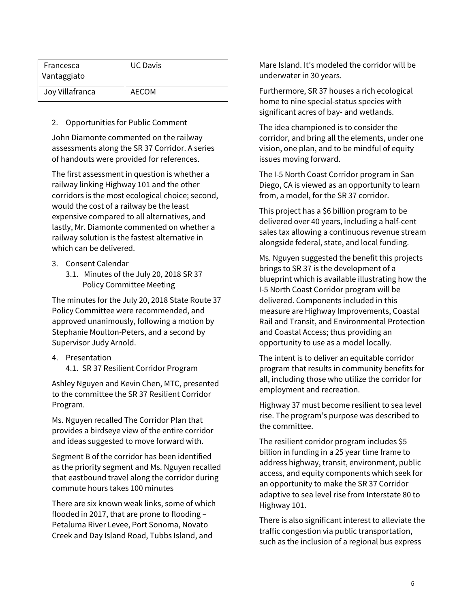| Francesca<br>Vantaggiato | <b>UC Davis</b> |
|--------------------------|-----------------|
| Joy Villafranca          | AECOM           |

2. Opportunities for Public Comment

John Diamonte commented on the railway assessments along the SR 37 Corridor. A series of handouts were provided for references.

The first assessment in question is whether a railway linking Highway 101 and the other corridors is the most ecological choice; second, would the cost of a railway be the least expensive compared to all alternatives, and lastly, Mr. Diamonte commented on whether a railway solution is the fastest alternative in which can be delivered.

- 3. Consent Calendar
	- 3.1. Minutes of the July 20, 2018 SR 37 Policy Committee Meeting

The minutes for the July 20, 2018 State Route 37 Policy Committee were recommended, and approved unanimously, following a motion by Stephanie Moulton-Peters, and a second by Supervisor Judy Arnold.

4. Presentation 4.1. SR 37 Resilient Corridor Program

Ashley Nguyen and Kevin Chen, MTC, presented to the committee the SR 37 Resilient Corridor Program.

Ms. Nguyen recalled The Corridor Plan that provides a birdseye view of the entire corridor and ideas suggested to move forward with.

Segment B of the corridor has been identified as the priority segment and Ms. Nguyen recalled that eastbound travel along the corridor during commute hours takes 100 minutes

There are six known weak links, some of which flooded in 2017, that are prone to flooding – Petaluma River Levee, Port Sonoma, Novato Creek and Day Island Road, Tubbs Island, and

Mare Island. It's modeled the corridor will be underwater in 30 years.

Furthermore, SR 37 houses a rich ecological home to nine special-status species with significant acres of bay- and wetlands.

The idea championed is to consider the corridor, and bring all the elements, under one vision, one plan, and to be mindful of equity issues moving forward.

The I-5 North Coast Corridor program in San Diego, CA is viewed as an opportunity to learn from, a model, for the SR 37 corridor.

This project has a \$6 billion program to be delivered over 40 years, including a half-cent sales tax allowing a continuous revenue stream alongside federal, state, and local funding.

Ms. Nguyen suggested the benefit this projects brings to SR 37 is the development of a blueprint which is available illustrating how the I-5 North Coast Corridor program will be delivered. Components included in this measure are Highway Improvements, Coastal Rail and Transit, and Environmental Protection and Coastal Access; thus providing an opportunity to use as a model locally.

The intent is to deliver an equitable corridor program that results in community benefits for all, including those who utilize the corridor for employment and recreation.

Highway 37 must become resilient to sea level rise. The program's purpose was described to the committee.

The resilient corridor program includes \$5 billion in funding in a 25 year time frame to address highway, transit, environment, public access, and equity components which seek for an opportunity to make the SR 37 Corridor adaptive to sea level rise from Interstate 80 to Highway 101.

There is also significant interest to alleviate the traffic congestion via public transportation, such as the inclusion of a regional bus express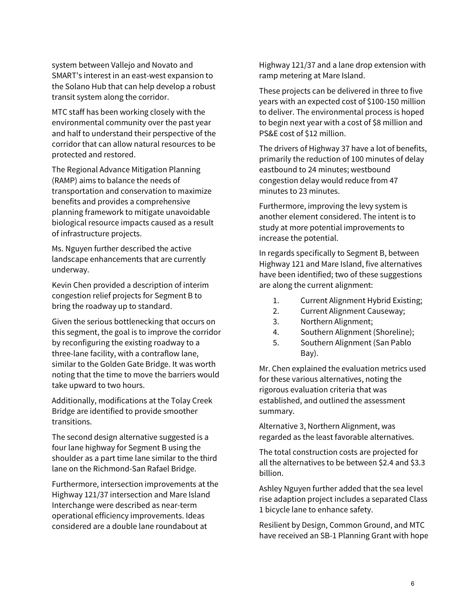system between Vallejo and Novato and SMART's interest in an east-west expansion to the Solano Hub that can help develop a robust transit system along the corridor.

MTC staff has been working closely with the environmental community over the past year and half to understand their perspective of the corridor that can allow natural resources to be protected and restored.

The Regional Advance Mitigation Planning (RAMP) aims to balance the needs of transportation and conservation to maximize benefits and provides a comprehensive planning framework to mitigate unavoidable biological resource impacts caused as a result of infrastructure projects.

Ms. Nguyen further described the active landscape enhancements that are currently underway.

Kevin Chen provided a description of interim congestion relief projects for Segment B to bring the roadway up to standard.

Given the serious bottlenecking that occurs on this segment, the goal is to improve the corridor by reconfiguring the existing roadway to a three-lane facility, with a contraflow lane, similar to the Golden Gate Bridge. It was worth noting that the time to move the barriers would take upward to two hours.

Additionally, modifications at the Tolay Creek Bridge are identified to provide smoother transitions.

The second design alternative suggested is a four lane highway for Segment B using the shoulder as a part time lane similar to the third lane on the Richmond-San Rafael Bridge.

Furthermore, intersection improvements at the Highway 121/37 intersection and Mare Island Interchange were described as near-term operational efficiency improvements. Ideas considered are a double lane roundabout at

Highway 121/37 and a lane drop extension with ramp metering at Mare Island.

These projects can be delivered in three to five years with an expected cost of \$100-150 million to deliver. The environmental process is hoped to begin next year with a cost of \$8 million and PS&E cost of \$12 million.

The drivers of Highway 37 have a lot of benefits, primarily the reduction of 100 minutes of delay eastbound to 24 minutes; westbound congestion delay would reduce from 47 minutes to 23 minutes.

Furthermore, improving the levy system is another element considered. The intent is to study at more potential improvements to increase the potential.

In regards specifically to Segment B, between Highway 121 and Mare Island, five alternatives have been identified; two of these suggestions are along the current alignment:

- 1. Current Alignment Hybrid Existing;
- 2. Current Alignment Causeway;
- 3. Northern Alignment;
- 4. Southern Alignment (Shoreline);
- 5. Southern Alignment (San Pablo Bay).

Mr. Chen explained the evaluation metrics used for these various alternatives, noting the rigorous evaluation criteria that was established, and outlined the assessment summary.

Alternative 3, Northern Alignment, was regarded as the least favorable alternatives.

The total construction costs are projected for all the alternatives to be between \$2.4 and \$3.3 billion.

Ashley Nguyen further added that the sea level rise adaption project includes a separated Class 1 bicycle lane to enhance safety.

Resilient by Design, Common Ground, and MTC have received an SB-1 Planning Grant with hope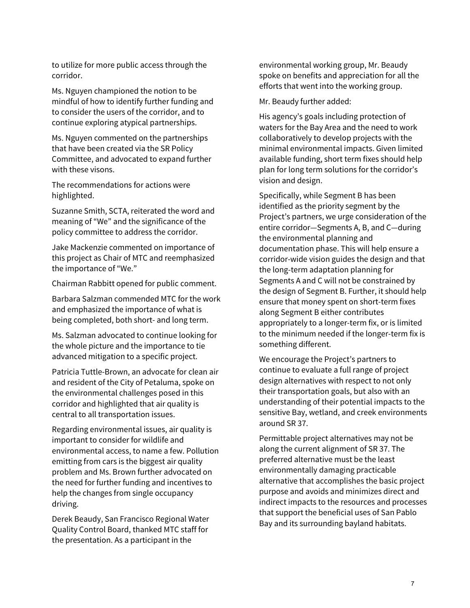to utilize for more public access through the corridor.

Ms. Nguyen championed the notion to be mindful of how to identify further funding and to consider the users of the corridor, and to continue exploring atypical partnerships.

Ms. Nguyen commented on the partnerships that have been created via the SR Policy Committee, and advocated to expand further with these visons.

The recommendations for actions were highlighted.

Suzanne Smith, SCTA, reiterated the word and meaning of "We" and the significance of the policy committee to address the corridor.

Jake Mackenzie commented on importance of this project as Chair of MTC and reemphasized the importance of "We."

Chairman Rabbitt opened for public comment.

Barbara Salzman commended MTC for the work and emphasized the importance of what is being completed, both short- and long term.

Ms. Salzman advocated to continue looking for the whole picture and the importance to tie advanced mitigation to a specific project.

Patricia Tuttle-Brown, an advocate for clean air and resident of the City of Petaluma, spoke on the environmental challenges posed in this corridor and highlighted that air quality is central to all transportation issues.

Regarding environmental issues, air quality is important to consider for wildlife and environmental access, to name a few. Pollution emitting from cars is the biggest air quality problem and Ms. Brown further advocated on the need for further funding and incentives to help the changes from single occupancy driving.

Derek Beaudy, San Francisco Regional Water Quality Control Board, thanked MTC staff for the presentation. As a participant in the

environmental working group, Mr. Beaudy spoke on benefits and appreciation for all the efforts that went into the working group.

Mr. Beaudy further added:

His agency's goals including protection of waters for the Bay Area and the need to work collaboratively to develop projects with the minimal environmental impacts. Given limited available funding, short term fixes should help plan for long term solutions for the corridor's vision and design.

Specifically, while Segment B has been identified as the priority segment by the Project's partners, we urge consideration of the entire corridor—Segments A, B, and C—during the environmental planning and documentation phase. This will help ensure a corridor-wide vision guides the design and that the long-term adaptation planning for Segments A and C will not be constrained by the design of Segment B. Further, it should help ensure that money spent on short-term fixes along Segment B either contributes appropriately to a longer-term fix, or is limited to the minimum needed if the longer-term fix is something different.

We encourage the Project's partners to continue to evaluate a full range of project design alternatives with respect to not only their transportation goals, but also with an understanding of their potential impacts to the sensitive Bay, wetland, and creek environments around SR 37.

Permittable project alternatives may not be along the current alignment of SR 37. The preferred alternative must be the least environmentally damaging practicable alternative that accomplishes the basic project purpose and avoids and minimizes direct and indirect impacts to the resources and processes that support the beneficial uses of San Pablo Bay and its surrounding bayland habitats.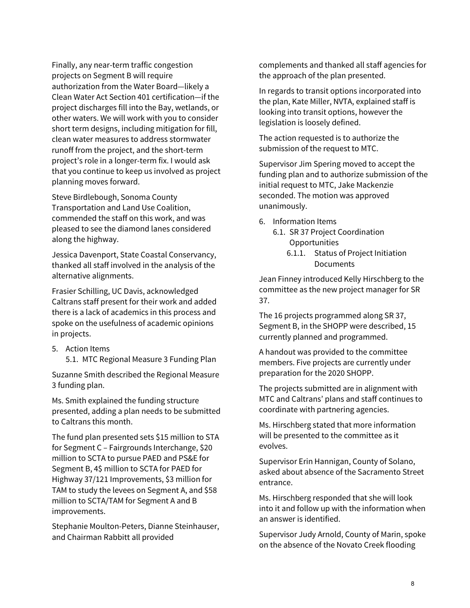Finally, any near-term traffic congestion projects on Segment B will require authorization from the Water Board—likely a Clean Water Act Section 401 certification—if the project discharges fill into the Bay, wetlands, or other waters. We will work with you to consider short term designs, including mitigation for fill, clean water measures to address stormwater runoff from the project, and the short-term project's role in a longer-term fix. I would ask that you continue to keep us involved as project planning moves forward.

Steve Birdlebough, Sonoma County Transportation and Land Use Coalition, commended the staff on this work, and was pleased to see the diamond lanes considered along the highway.

Jessica Davenport, State Coastal Conservancy, thanked all staff involved in the analysis of the alternative alignments.

Frasier Schilling, UC Davis, acknowledged Caltrans staff present for their work and added there is a lack of academics in this process and spoke on the usefulness of academic opinions in projects.

- 5. Action Items
	- 5.1. MTC Regional Measure 3 Funding Plan

Suzanne Smith described the Regional Measure 3 funding plan.

Ms. Smith explained the funding structure presented, adding a plan needs to be submitted to Caltrans this month.

The fund plan presented sets \$15 million to STA for Segment C – Fairgrounds Interchange, \$20 million to SCTA to pursue PAED and PS&E for Segment B, 4\$ million to SCTA for PAED for Highway 37/121 Improvements, \$3 million for TAM to study the levees on Segment A, and \$58 million to SCTA/TAM for Segment A and B improvements.

Stephanie Moulton-Peters, Dianne Steinhauser, and Chairman Rabbitt all provided

complements and thanked all staff agencies for the approach of the plan presented.

In regards to transit options incorporated into the plan, Kate Miller, NVTA, explained staff is looking into transit options, however the legislation is loosely defined.

The action requested is to authorize the submission of the request to MTC.

Supervisor Jim Spering moved to accept the funding plan and to authorize submission of the initial request to MTC, Jake Mackenzie seconded. The motion was approved unanimously.

- 6. Information Items
	- 6.1. SR 37 Project Coordination **Opportunities** 
		- 6.1.1. Status of Project Initiation **Documents**

Jean Finney introduced Kelly Hirschberg to the committee as the new project manager for SR 37.

The 16 projects programmed along SR 37, Segment B, in the SHOPP were described, 15 currently planned and programmed.

A handout was provided to the committee members. Five projects are currently under preparation for the 2020 SHOPP.

The projects submitted are in alignment with MTC and Caltrans' plans and staff continues to coordinate with partnering agencies.

Ms. Hirschberg stated that more information will be presented to the committee as it evolves.

Supervisor Erin Hannigan, County of Solano, asked about absence of the Sacramento Street entrance.

Ms. Hirschberg responded that she will look into it and follow up with the information when an answer is identified.

Supervisor Judy Arnold, County of Marin, spoke on the absence of the Novato Creek flooding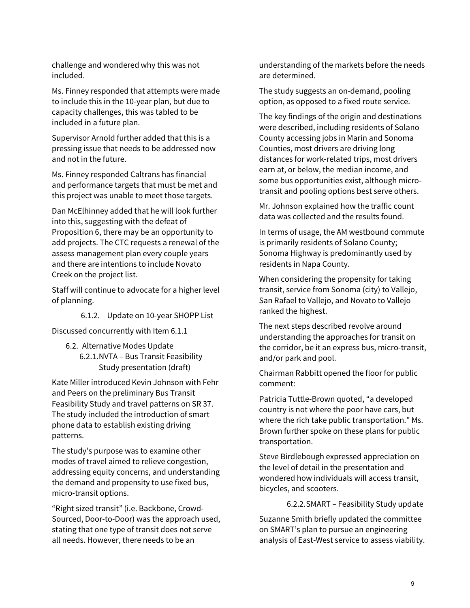challenge and wondered why this was not included.

Ms. Finney responded that attempts were made to include this in the 10-year plan, but due to capacity challenges, this was tabled to be included in a future plan.

Supervisor Arnold further added that this is a pressing issue that needs to be addressed now and not in the future.

Ms. Finney responded Caltrans has financial and performance targets that must be met and this project was unable to meet those targets.

Dan McElhinney added that he will look further into this, suggesting with the defeat of Proposition 6, there may be an opportunity to add projects. The CTC requests a renewal of the assess management plan every couple years and there are intentions to include Novato Creek on the project list.

Staff will continue to advocate for a higher level of planning.

6.1.2. Update on 10-year SHOPP List

Discussed concurrently with Item 6.1.1

6.2. Alternative Modes Update 6.2.1.NVTA – Bus Transit Feasibility Study presentation (draft)

Kate Miller introduced Kevin Johnson with Fehr and Peers on the preliminary Bus Transit Feasibility Study and travel patterns on SR 37. The study included the introduction of smart phone data to establish existing driving patterns.

The study's purpose was to examine other modes of travel aimed to relieve congestion, addressing equity concerns, and understanding the demand and propensity to use fixed bus, micro-transit options.

"Right sized transit" (i.e. Backbone, Crowd-Sourced, Door-to-Door) was the approach used, stating that one type of transit does not serve all needs. However, there needs to be an

understanding of the markets before the needs are determined.

The study suggests an on-demand, pooling option, as opposed to a fixed route service.

The key findings of the origin and destinations were described, including residents of Solano County accessing jobs in Marin and Sonoma Counties, most drivers are driving long distances for work-related trips, most drivers earn at, or below, the median income, and some bus opportunities exist, although microtransit and pooling options best serve others.

Mr. Johnson explained how the traffic count data was collected and the results found.

In terms of usage, the AM westbound commute is primarily residents of Solano County; Sonoma Highway is predominantly used by residents in Napa County.

When considering the propensity for taking transit, service from Sonoma (city) to Vallejo, San Rafael to Vallejo, and Novato to Vallejo ranked the highest.

The next steps described revolve around understanding the approaches for transit on the corridor, be it an express bus, micro-transit, and/or park and pool.

Chairman Rabbitt opened the floor for public comment:

Patricia Tuttle-Brown quoted, "a developed country is not where the poor have cars, but where the rich take public transportation." Ms. Brown further spoke on these plans for public transportation.

Steve Birdlebough expressed appreciation on the level of detail in the presentation and wondered how individuals will access transit, bicycles, and scooters.

6.2.2.SMART – Feasibility Study update

Suzanne Smith briefly updated the committee on SMART's plan to pursue an engineering analysis of East-West service to assess viability.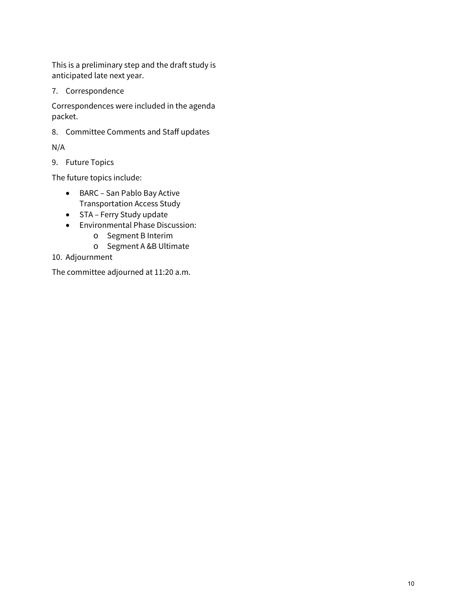This is a preliminary step and the draft study is anticipated late next year.

7. Correspondence

Correspondences were included in the agenda packet.

8. Committee Comments and Staff updates

N/A

9. Future Topics

The future topics include:

- BARC San Pablo Bay Active Transportation Access Study
- STA Ferry Study update
- Environmental Phase Discussion:
	- o Segment B Interim
	- o Segment A &B Ultimate
- 10. Adjournment

The committee adjourned at 11:20 a.m.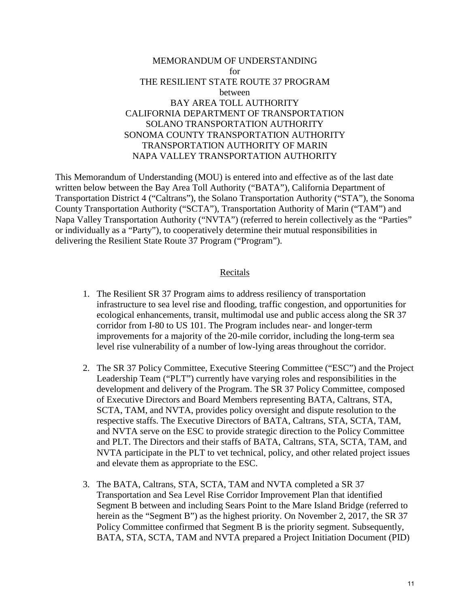### MEMORANDUM OF UNDERSTANDING for THE RESILIENT STATE ROUTE 37 PROGRAM between BAY AREA TOLL AUTHORITY CALIFORNIA DEPARTMENT OF TRANSPORTATION SOLANO TRANSPORTATION AUTHORITY SONOMA COUNTY TRANSPORTATION AUTHORITY TRANSPORTATION AUTHORITY OF MARIN NAPA VALLEY TRANSPORTATION AUTHORITY

This Memorandum of Understanding (MOU) is entered into and effective as of the last date written below between the Bay Area Toll Authority ("BATA"), California Department of Transportation District 4 ("Caltrans"), the Solano Transportation Authority ("STA"), the Sonoma County Transportation Authority ("SCTA"), Transportation Authority of Marin ("TAM") and Napa Valley Transportation Authority ("NVTA") (referred to herein collectively as the "Parties" or individually as a "Party"), to cooperatively determine their mutual responsibilities in delivering the Resilient State Route 37 Program ("Program").

#### Recitals

- 1. The Resilient SR 37 Program aims to address resiliency of transportation infrastructure to sea level rise and flooding, traffic congestion, and opportunities for ecological enhancements, transit, multimodal use and public access along the SR 37 corridor from I-80 to US 101. The Program includes near- and longer-term improvements for a majority of the 20-mile corridor, including the long-term sea level rise vulnerability of a number of low-lying areas throughout the corridor.
- 2. The SR 37 Policy Committee, Executive Steering Committee ("ESC") and the Project Leadership Team ("PLT") currently have varying roles and responsibilities in the development and delivery of the Program. The SR 37 Policy Committee, composed of Executive Directors and Board Members representing BATA, Caltrans, STA, SCTA, TAM, and NVTA, provides policy oversight and dispute resolution to the respective staffs. The Executive Directors of BATA, Caltrans, STA, SCTA, TAM, and NVTA serve on the ESC to provide strategic direction to the Policy Committee and PLT. The Directors and their staffs of BATA, Caltrans, STA, SCTA, TAM, and NVTA participate in the PLT to vet technical, policy, and other related project issues and elevate them as appropriate to the ESC.
- 3. The BATA, Caltrans, STA, SCTA, TAM and NVTA completed a SR 37 Transportation and Sea Level Rise Corridor Improvement Plan that identified Segment B between and including Sears Point to the Mare Island Bridge (referred to herein as the "Segment B") as the highest priority. On November 2, 2017, the SR 37 Policy Committee confirmed that Segment B is the priority segment. Subsequently, BATA, STA, SCTA, TAM and NVTA prepared a Project Initiation Document (PID)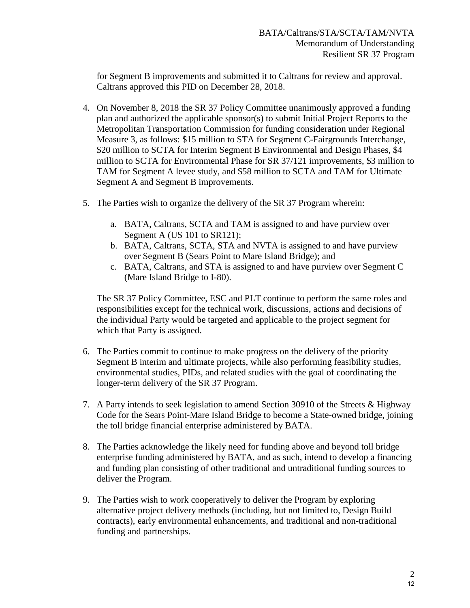for Segment B improvements and submitted it to Caltrans for review and approval. Caltrans approved this PID on December 28, 2018.

- 4. On November 8, 2018 the SR 37 Policy Committee unanimously approved a funding plan and authorized the applicable sponsor(s) to submit Initial Project Reports to the Metropolitan Transportation Commission for funding consideration under Regional Measure 3, as follows: \$15 million to STA for Segment C-Fairgrounds Interchange, \$20 million to SCTA for Interim Segment B Environmental and Design Phases, \$4 million to SCTA for Environmental Phase for SR 37/121 improvements, \$3 million to TAM for Segment A levee study, and \$58 million to SCTA and TAM for Ultimate Segment A and Segment B improvements.
- 5. The Parties wish to organize the delivery of the SR 37 Program wherein:
	- a. BATA, Caltrans, SCTA and TAM is assigned to and have purview over Segment A (US 101 to SR121);
	- b. BATA, Caltrans, SCTA, STA and NVTA is assigned to and have purview over Segment B (Sears Point to Mare Island Bridge); and
	- c. BATA, Caltrans, and STA is assigned to and have purview over Segment C (Mare Island Bridge to I-80).

The SR 37 Policy Committee, ESC and PLT continue to perform the same roles and responsibilities except for the technical work, discussions, actions and decisions of the individual Party would be targeted and applicable to the project segment for which that Party is assigned.

- 6. The Parties commit to continue to make progress on the delivery of the priority Segment B interim and ultimate projects, while also performing feasibility studies, environmental studies, PIDs, and related studies with the goal of coordinating the longer-term delivery of the SR 37 Program.
- 7. A Party intends to seek legislation to amend Section 30910 of the Streets & Highway Code for the Sears Point-Mare Island Bridge to become a State-owned bridge, joining the toll bridge financial enterprise administered by BATA.
- 8. The Parties acknowledge the likely need for funding above and beyond toll bridge enterprise funding administered by BATA, and as such, intend to develop a financing and funding plan consisting of other traditional and untraditional funding sources to deliver the Program.
- 9. The Parties wish to work cooperatively to deliver the Program by exploring alternative project delivery methods (including, but not limited to, Design Build contracts), early environmental enhancements, and traditional and non-traditional funding and partnerships.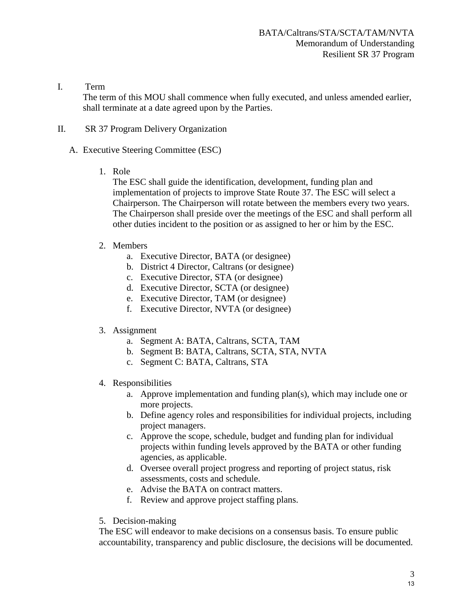I. Term

The term of this MOU shall commence when fully executed, and unless amended earlier, shall terminate at a date agreed upon by the Parties.

- II. SR 37 Program Delivery Organization
	- A. Executive Steering Committee (ESC)
		- 1. Role

The ESC shall guide the identification, development, funding plan and implementation of projects to improve State Route 37. The ESC will select a Chairperson. The Chairperson will rotate between the members every two years. The Chairperson shall preside over the meetings of the ESC and shall perform all other duties incident to the position or as assigned to her or him by the ESC.

- 2. Members
	- a. Executive Director, BATA (or designee)
	- b. District 4 Director, Caltrans (or designee)
	- c. Executive Director, STA (or designee)
	- d. Executive Director, SCTA (or designee)
	- e. Executive Director, TAM (or designee)
	- f. Executive Director, NVTA (or designee)
- 3. Assignment
	- a. Segment A: BATA, Caltrans, SCTA, TAM
	- b. Segment B: BATA, Caltrans, SCTA, STA, NVTA
	- c. Segment C: BATA, Caltrans, STA
- 4. Responsibilities
	- a. Approve implementation and funding plan(s), which may include one or more projects.
	- b. Define agency roles and responsibilities for individual projects, including project managers.
	- c. Approve the scope, schedule, budget and funding plan for individual projects within funding levels approved by the BATA or other funding agencies, as applicable.
	- d. Oversee overall project progress and reporting of project status, risk assessments, costs and schedule.
	- e. Advise the BATA on contract matters.
	- f. Review and approve project staffing plans.
- 5. Decision-making

The ESC will endeavor to make decisions on a consensus basis. To ensure public accountability, transparency and public disclosure, the decisions will be documented.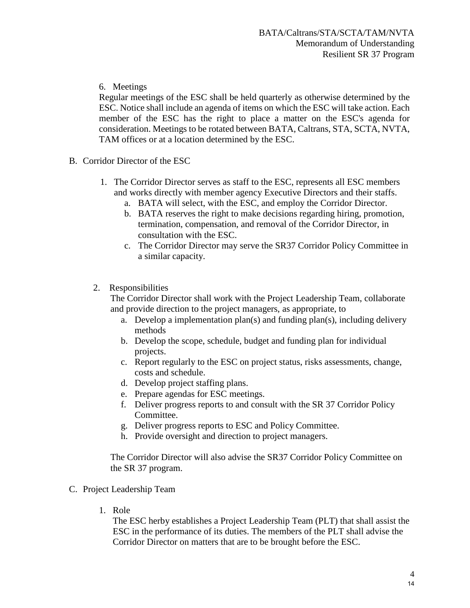### 6. Meetings

Regular meetings of the ESC shall be held quarterly as otherwise determined by the ESC. Notice shall include an agenda of items on which the ESC will take action. Each member of the ESC has the right to place a matter on the ESC's agenda for consideration. Meetings to be rotated between BATA, Caltrans, STA, SCTA, NVTA, TAM offices or at a location determined by the ESC.

- B. Corridor Director of the ESC
	- 1. The Corridor Director serves as staff to the ESC, represents all ESC members and works directly with member agency Executive Directors and their staffs.
		- a. BATA will select, with the ESC, and employ the Corridor Director.
		- b. BATA reserves the right to make decisions regarding hiring, promotion, termination, compensation, and removal of the Corridor Director, in consultation with the ESC.
		- c. The Corridor Director may serve the SR37 Corridor Policy Committee in a similar capacity.

#### 2. Responsibilities

The Corridor Director shall work with the Project Leadership Team, collaborate and provide direction to the project managers, as appropriate, to

- a. Develop a implementation plan(s) and funding plan(s), including delivery methods
- b. Develop the scope, schedule, budget and funding plan for individual projects.
- c. Report regularly to the ESC on project status, risks assessments, change, costs and schedule.
- d. Develop project staffing plans.
- e. Prepare agendas for ESC meetings.
- f. Deliver progress reports to and consult with the SR 37 Corridor Policy Committee.
- g. Deliver progress reports to ESC and Policy Committee.
- h. Provide oversight and direction to project managers.

The Corridor Director will also advise the SR37 Corridor Policy Committee on the SR 37 program.

- C. Project Leadership Team
	- 1. Role

The ESC herby establishes a Project Leadership Team (PLT) that shall assist the ESC in the performance of its duties. The members of the PLT shall advise the Corridor Director on matters that are to be brought before the ESC.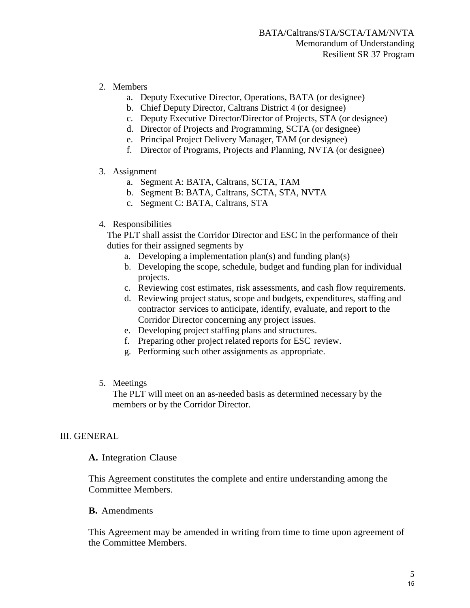- 2. Members
	- a. Deputy Executive Director, Operations, BATA (or designee)
	- b. Chief Deputy Director, Caltrans District 4 (or designee)
	- c. Deputy Executive Director/Director of Projects, STA (or designee)
	- d. Director of Projects and Programming, SCTA (or designee)
	- e. Principal Project Delivery Manager, TAM (or designee)
	- f. Director of Programs, Projects and Planning, NVTA (or designee)

#### 3. Assignment

- a. Segment A: BATA, Caltrans, SCTA, TAM
- b. Segment B: BATA, Caltrans, SCTA, STA, NVTA
- c. Segment C: BATA, Caltrans, STA

#### 4. Responsibilities

The PLT shall assist the Corridor Director and ESC in the performance of their duties for their assigned segments by

- a. Developing a implementation plan(s) and funding plan(s)
- b. Developing the scope, schedule, budget and funding plan for individual projects.
- c. Reviewing cost estimates, risk assessments, and cash flow requirements.
- d. Reviewing project status, scope and budgets, expenditures, staffing and contractor services to anticipate, identify, evaluate, and report to the Corridor Director concerning any project issues.
- e. Developing project staffing plans and structures.
- f. Preparing other project related reports for ESC review.
- g. Performing such other assignments as appropriate.
- 5. Meetings

The PLT will meet on an as-needed basis as determined necessary by the members or by the Corridor Director.

#### III. GENERAL

#### **A.** Integration Clause

This Agreement constitutes the complete and entire understanding among the Committee Members.

#### **B.** Amendments

This Agreement may be amended in writing from time to time upon agreement of the Committee Members.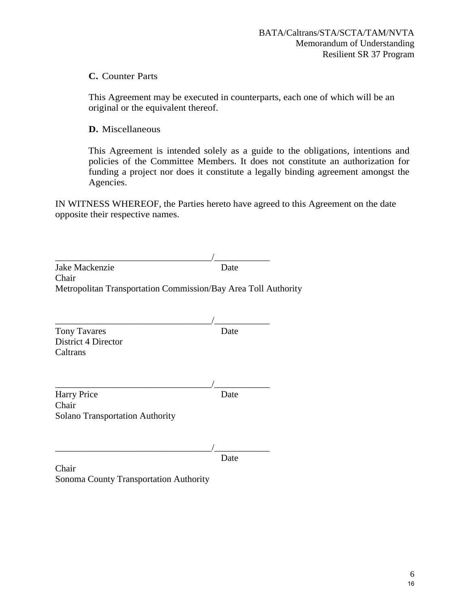## **C.** Counter Parts

This Agreement may be executed in counterparts, each one of which will be an original or the equivalent thereof.

**D.** Miscellaneous

This Agreement is intended solely as a guide to the obligations, intentions and policies of the Committee Members. It does not constitute an authorization for funding a project nor does it constitute a legally binding agreement amongst the Agencies.

IN WITNESS WHEREOF, the Parties hereto have agreed to this Agreement on the date opposite their respective names.

| Jake Mackenzie<br>Chair                                        | Date |  |
|----------------------------------------------------------------|------|--|
| Metropolitan Transportation Commission/Bay Area Toll Authority |      |  |
|                                                                |      |  |
|                                                                |      |  |
| <b>Tony Tavares</b>                                            | Date |  |
| District 4 Director                                            |      |  |
| Caltrans                                                       |      |  |
|                                                                |      |  |
|                                                                |      |  |
| <b>Harry Price</b>                                             | Date |  |
| Chair                                                          |      |  |
| <b>Solano Transportation Authority</b>                         |      |  |
|                                                                |      |  |
|                                                                |      |  |
|                                                                | Date |  |
| Chair                                                          |      |  |
| <b>Sonoma County Transportation Authority</b>                  |      |  |